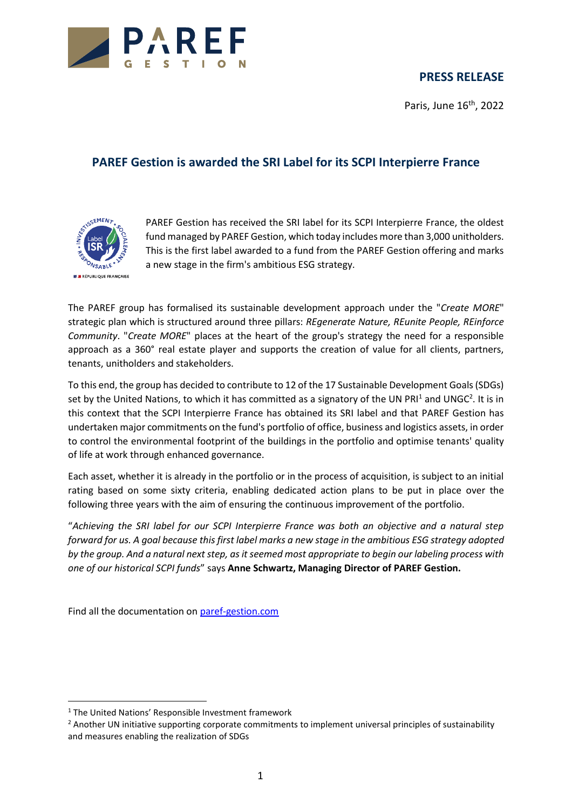

## **PRESS RELEASE**

Paris, June  $16<sup>th</sup>$ , 2022

## **PAREF Gestion is awarded the SRI Label for its SCPI Interpierre France**



PAREF Gestion has received the SRI label for its SCPI Interpierre France, the oldest fund managed by PAREF Gestion, which today includes more than 3,000 unitholders. This is the first label awarded to a fund from the PAREF Gestion offering and marks a new stage in the firm's ambitious ESG strategy.

The PAREF group has formalised its sustainable development approach under the "*Create MORE*" strategic plan which is structured around three pillars: *REgenerate Nature, REunite People, REinforce Community*. "*Create MORE*" places at the heart of the group's strategy the need for a responsible approach as a 360° real estate player and supports the creation of value for all clients, partners, tenants, unitholders and stakeholders.

To this end, the group has decided to contribute to 12 of the 17 Sustainable Development Goals (SDGs) set by the United Nations, to which it has committed as a signatory of the UN PRI<sup>1</sup> and UNGC<sup>2</sup>. It is in this context that the SCPI Interpierre France has obtained its SRI label and that PAREF Gestion has undertaken major commitments on the fund's portfolio of office, business and logistics assets, in order to control the environmental footprint of the buildings in the portfolio and optimise tenants' quality of life at work through enhanced governance.

Each asset, whether it is already in the portfolio or in the process of acquisition, is subject to an initial rating based on some sixty criteria, enabling dedicated action plans to be put in place over the following three years with the aim of ensuring the continuous improvement of the portfolio.

"*Achieving the SRI label for our SCPI Interpierre France was both an objective and a natural step forward for us. A goal because this first label marks a new stage in the ambitious ESG strategy adopted by the group. And a natural next step, as it seemed most appropriate to begin our labeling process with one of our historical SCPI funds*" says **Anne Schwartz, Managing Director of PAREF Gestion.**

Find all the documentation on [paref-gestion.com](http://paref-gestion.com/)

<sup>&</sup>lt;sup>1</sup> The United Nations' Responsible Investment framework

<sup>&</sup>lt;sup>2</sup> Another UN initiative supporting corporate commitments to implement universal principles of sustainability and measures enabling the realization of SDGs